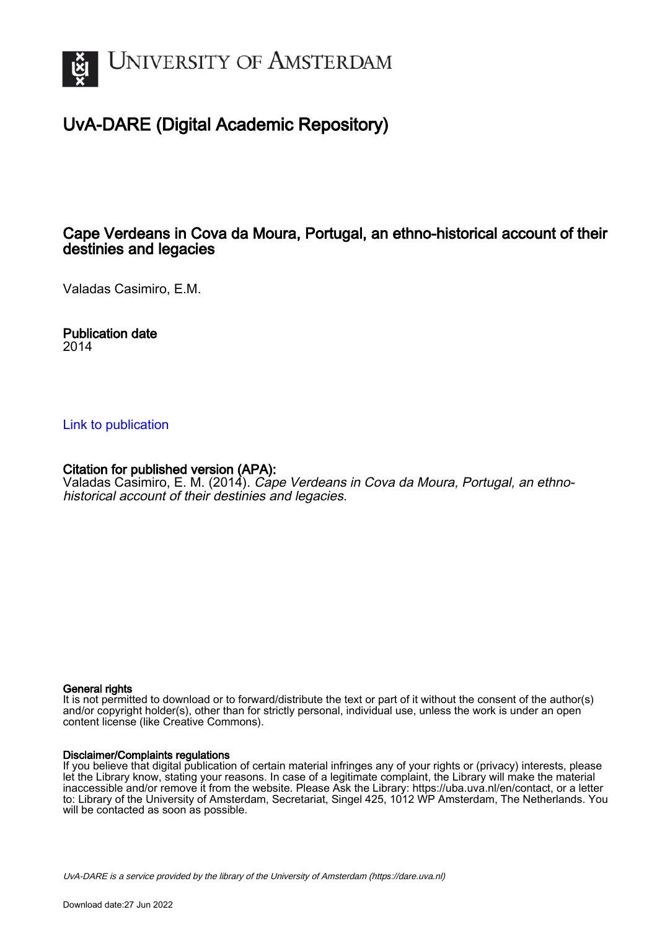

# UvA-DARE (Digital Academic Repository)

# Cape Verdeans in Cova da Moura, Portugal, an ethno-historical account of their destinies and legacies

Valadas Casimiro, E.M.

Publication date 2014

### [Link to publication](https://dare.uva.nl/personal/pure/en/publications/cape-verdeans-in-cova-da-moura-portugal-an-ethnohistorical-account-of-their-destinies-and-legacies(9868005f-e954-491c-9d56-94906bd08662).html)

### Citation for published version (APA):

Valadas Casimiro, E. M. (2014). Cape Verdeans in Cova da Moura, Portugal, an ethnohistorical account of their destinies and legacies.

#### General rights

It is not permitted to download or to forward/distribute the text or part of it without the consent of the author(s) and/or copyright holder(s), other than for strictly personal, individual use, unless the work is under an open content license (like Creative Commons).

#### Disclaimer/Complaints regulations

If you believe that digital publication of certain material infringes any of your rights or (privacy) interests, please let the Library know, stating your reasons. In case of a legitimate complaint, the Library will make the material inaccessible and/or remove it from the website. Please Ask the Library: https://uba.uva.nl/en/contact, or a letter to: Library of the University of Amsterdam, Secretariat, Singel 425, 1012 WP Amsterdam, The Netherlands. You will be contacted as soon as possible.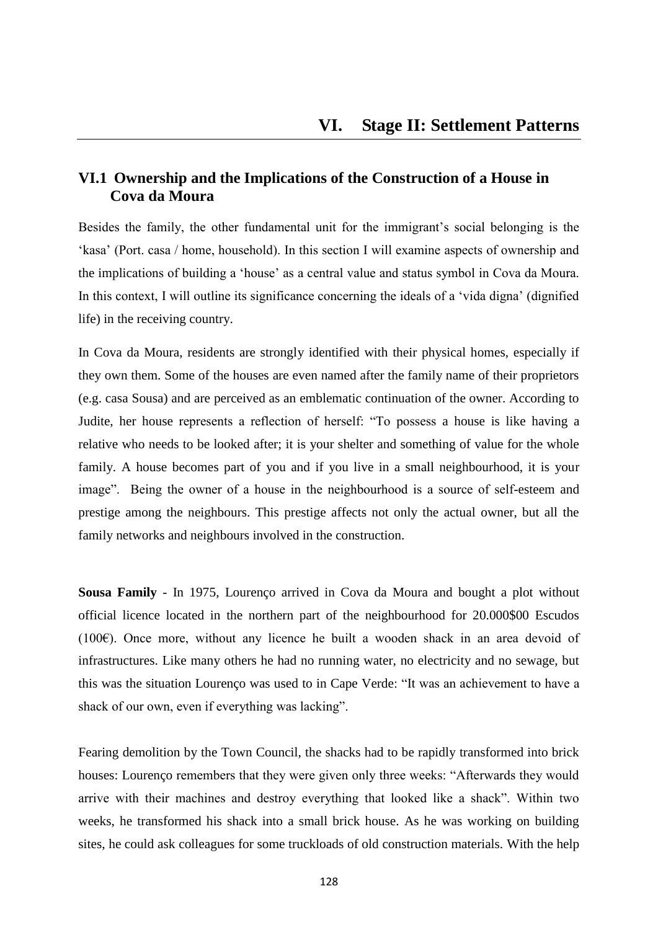# **VI.1 Ownership and the Implications of the Construction of a House in Cova da Moura**

Besides the family, the other fundamental unit for the immigrant's social belonging is the ‗kasa' (Port. casa / home, household). In this section I will examine aspects of ownership and the implications of building a 'house' as a central value and status symbol in Cova da Moura. In this context, I will outline its significance concerning the ideals of a 'vida digna' (dignified life) in the receiving country.

In Cova da Moura, residents are strongly identified with their physical homes, especially if they own them. Some of the houses are even named after the family name of their proprietors (e.g. casa Sousa) and are perceived as an emblematic continuation of the owner. According to Judite, her house represents a reflection of herself: "To possess a house is like having a relative who needs to be looked after; it is your shelter and something of value for the whole family. A house becomes part of you and if you live in a small neighbourhood, it is your image". Being the owner of a house in the neighbourhood is a source of self-esteem and prestige among the neighbours. This prestige affects not only the actual owner, but all the family networks and neighbours involved in the construction.

**Sousa Family** - In 1975, Lourenço arrived in Cova da Moura and bought a plot without official licence located in the northern part of the neighbourhood for 20.000\$00 Escudos (100€). Once more, without any licence he built a wooden shack in an area devoid of infrastructures. Like many others he had no running water, no electricity and no sewage, but this was the situation Lourenço was used to in Cape Verde: "It was an achievement to have a shack of our own, even if everything was lacking".

Fearing demolition by the Town Council, the shacks had to be rapidly transformed into brick houses: Lourenço remembers that they were given only three weeks: "Afterwards they would arrive with their machines and destroy everything that looked like a shack". Within two weeks, he transformed his shack into a small brick house. As he was working on building sites, he could ask colleagues for some truckloads of old construction materials. With the help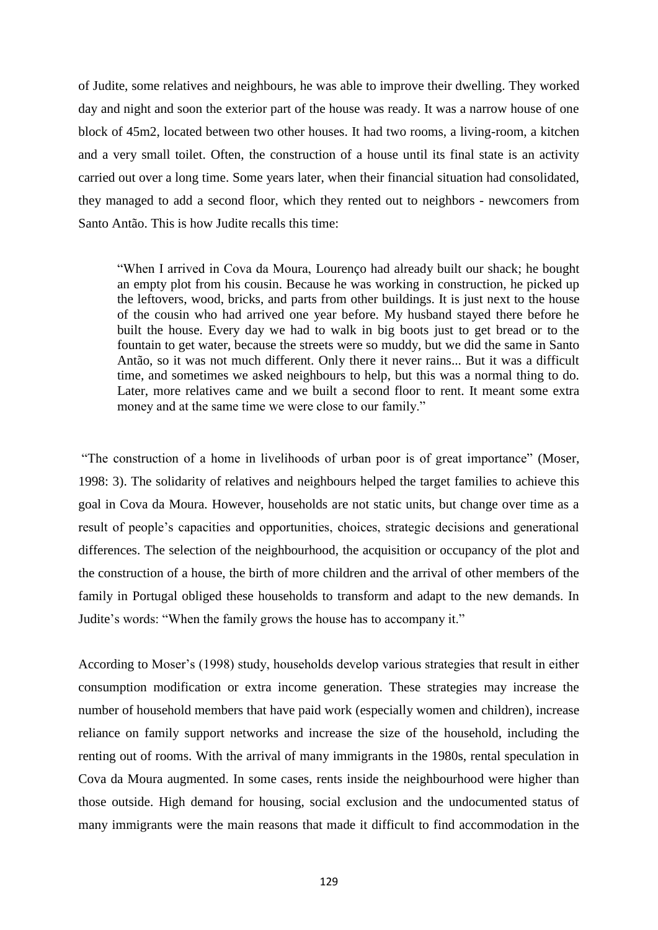of Judite, some relatives and neighbours, he was able to improve their dwelling. They worked day and night and soon the exterior part of the house was ready. It was a narrow house of one block of 45m2, located between two other houses. It had two rooms, a living-room, a kitchen and a very small toilet. Often, the construction of a house until its final state is an activity carried out over a long time. Some years later, when their financial situation had consolidated, they managed to add a second floor, which they rented out to neighbors - newcomers from Santo Antão. This is how Judite recalls this time:

―When I arrived in Cova da Moura, Lourenço had already built our shack; he bought an empty plot from his cousin. Because he was working in construction, he picked up the leftovers, wood, bricks, and parts from other buildings. It is just next to the house of the cousin who had arrived one year before. My husband stayed there before he built the house. Every day we had to walk in big boots just to get bread or to the fountain to get water, because the streets were so muddy, but we did the same in Santo Antão, so it was not much different. Only there it never rains... But it was a difficult time, and sometimes we asked neighbours to help, but this was a normal thing to do. Later, more relatives came and we built a second floor to rent. It meant some extra money and at the same time we were close to our family."

"The construction of a home in livelihoods of urban poor is of great importance" (Moser, 1998: 3). The solidarity of relatives and neighbours helped the target families to achieve this goal in Cova da Moura. However, households are not static units, but change over time as a result of people's capacities and opportunities, choices, strategic decisions and generational differences. The selection of the neighbourhood, the acquisition or occupancy of the plot and the construction of a house, the birth of more children and the arrival of other members of the family in Portugal obliged these households to transform and adapt to the new demands. In Judite's words: "When the family grows the house has to accompany it."

According to Moser's (1998) study, households develop various strategies that result in either consumption modification or extra income generation. These strategies may increase the number of household members that have paid work (especially women and children), increase reliance on family support networks and increase the size of the household, including the renting out of rooms. With the arrival of many immigrants in the 1980s, rental speculation in Cova da Moura augmented. In some cases, rents inside the neighbourhood were higher than those outside. High demand for housing, social exclusion and the undocumented status of many immigrants were the main reasons that made it difficult to find accommodation in the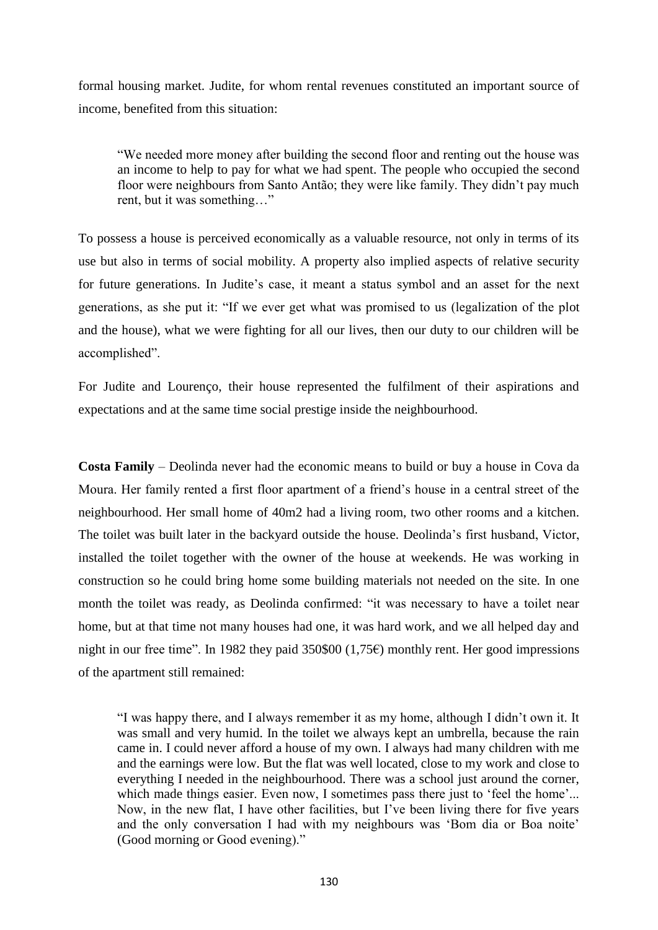formal housing market. Judite, for whom rental revenues constituted an important source of income, benefited from this situation:

―We needed more money after building the second floor and renting out the house was an income to help to pay for what we had spent. The people who occupied the second floor were neighbours from Santo Antão; they were like family. They didn't pay much rent, but it was something..."

To possess a house is perceived economically as a valuable resource, not only in terms of its use but also in terms of social mobility. A property also implied aspects of relative security for future generations. In Judite's case, it meant a status symbol and an asset for the next generations, as she put it: "If we ever get what was promised to us (legalization of the plot and the house), what we were fighting for all our lives, then our duty to our children will be accomplished".

For Judite and Lourenço, their house represented the fulfilment of their aspirations and expectations and at the same time social prestige inside the neighbourhood.

**Costa Family** – Deolinda never had the economic means to build or buy a house in Cova da Moura. Her family rented a first floor apartment of a friend's house in a central street of the neighbourhood. Her small home of 40m2 had a living room, two other rooms and a kitchen. The toilet was built later in the backyard outside the house. Deolinda's first husband, Victor, installed the toilet together with the owner of the house at weekends. He was working in construction so he could bring home some building materials not needed on the site. In one month the toilet was ready, as Deolinda confirmed: "it was necessary to have a toilet near home, but at that time not many houses had one, it was hard work, and we all helped day and night in our free time". In 1982 they paid 350\$00 (1,75 $\epsilon$ ) monthly rent. Her good impressions of the apartment still remained:

―I was happy there, and I always remember it as my home, although I didn't own it. It was small and very humid. In the toilet we always kept an umbrella, because the rain came in. I could never afford a house of my own. I always had many children with me and the earnings were low. But the flat was well located, close to my work and close to everything I needed in the neighbourhood. There was a school just around the corner, which made things easier. Even now, I sometimes pass there just to 'feel the home'... Now, in the new flat, I have other facilities, but I've been living there for five years and the only conversation I had with my neighbours was 'Bom dia or Boa noite' (Good morning or Good evening)."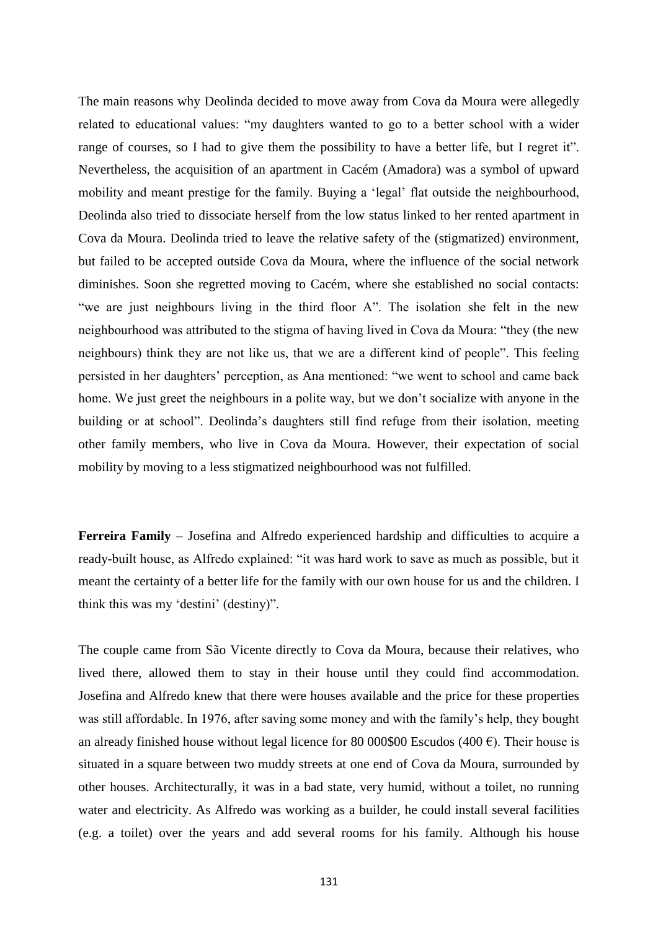The main reasons why Deolinda decided to move away from Cova da Moura were allegedly related to educational values: "my daughters wanted to go to a better school with a wider range of courses, so I had to give them the possibility to have a better life, but I regret it". Nevertheless, the acquisition of an apartment in Cacém (Amadora) was a symbol of upward mobility and meant prestige for the family. Buying a 'legal' flat outside the neighbourhood, Deolinda also tried to dissociate herself from the low status linked to her rented apartment in Cova da Moura. Deolinda tried to leave the relative safety of the (stigmatized) environment, but failed to be accepted outside Cova da Moura, where the influence of the social network diminishes. Soon she regretted moving to Cacém, where she established no social contacts: "we are just neighbours living in the third floor A". The isolation she felt in the new neighbourhood was attributed to the stigma of having lived in Cova da Moura: "they (the new neighbours) think they are not like us, that we are a different kind of people". This feeling persisted in her daughters' perception, as Ana mentioned: "we went to school and came back home. We just greet the neighbours in a polite way, but we don't socialize with anyone in the building or at school". Deolinda's daughters still find refuge from their isolation, meeting other family members, who live in Cova da Moura. However, their expectation of social mobility by moving to a less stigmatized neighbourhood was not fulfilled.

**Ferreira Family** – Josefina and Alfredo experienced hardship and difficulties to acquire a ready-built house, as Alfredo explained: "it was hard work to save as much as possible, but it meant the certainty of a better life for the family with our own house for us and the children. I think this was my 'destini' (destiny)".

The couple came from São Vicente directly to Cova da Moura, because their relatives, who lived there, allowed them to stay in their house until they could find accommodation. Josefina and Alfredo knew that there were houses available and the price for these properties was still affordable. In 1976, after saving some money and with the family's help, they bought an already finished house without legal licence for 80 000\$00 Escudos (400  $\epsilon$ ). Their house is situated in a square between two muddy streets at one end of Cova da Moura, surrounded by other houses. Architecturally, it was in a bad state, very humid, without a toilet, no running water and electricity. As Alfredo was working as a builder, he could install several facilities (e.g. a toilet) over the years and add several rooms for his family. Although his house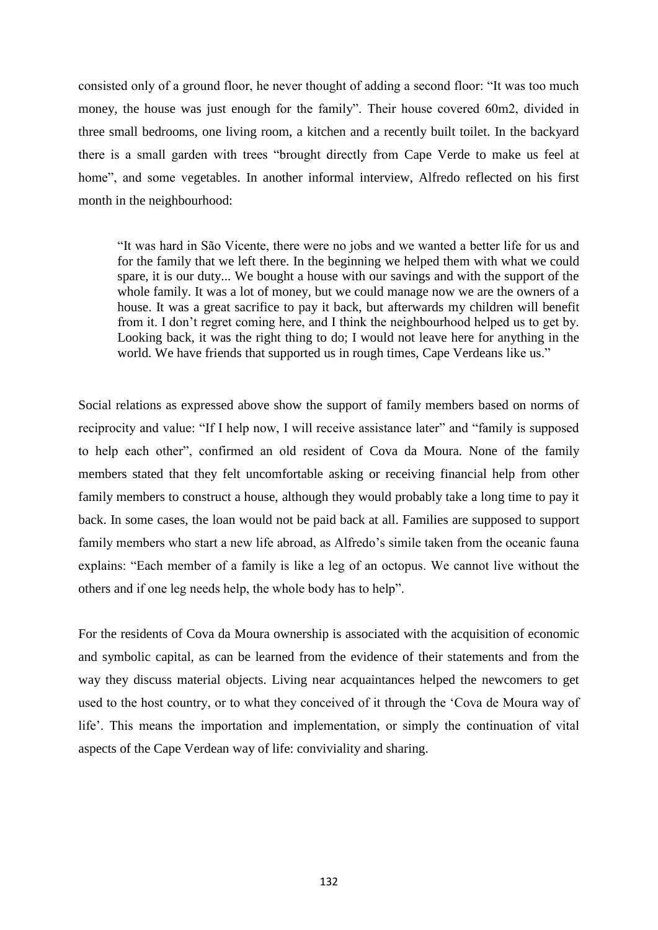consisted only of a ground floor, he never thought of adding a second floor: "It was too much money, the house was just enough for the family". Their house covered 60m2, divided in three small bedrooms, one living room, a kitchen and a recently built toilet. In the backyard there is a small garden with trees "brought directly from Cape Verde to make us feel at home", and some vegetables. In another informal interview, Alfredo reflected on his first month in the neighbourhood:

―It was hard in São Vicente, there were no jobs and we wanted a better life for us and for the family that we left there. In the beginning we helped them with what we could spare, it is our duty... We bought a house with our savings and with the support of the whole family. It was a lot of money, but we could manage now we are the owners of a house. It was a great sacrifice to pay it back, but afterwards my children will benefit from it. I don't regret coming here, and I think the neighbourhood helped us to get by. Looking back, it was the right thing to do; I would not leave here for anything in the world. We have friends that supported us in rough times, Cape Verdeans like us."

Social relations as expressed above show the support of family members based on norms of reciprocity and value: "If I help now, I will receive assistance later" and "family is supposed to help each other", confirmed an old resident of Cova da Moura. None of the family members stated that they felt uncomfortable asking or receiving financial help from other family members to construct a house, although they would probably take a long time to pay it back. In some cases, the loan would not be paid back at all. Families are supposed to support family members who start a new life abroad, as Alfredo's simile taken from the oceanic fauna explains: "Each member of a family is like a leg of an octopus. We cannot live without the others and if one leg needs help, the whole body has to help".

For the residents of Cova da Moura ownership is associated with the acquisition of economic and symbolic capital, as can be learned from the evidence of their statements and from the way they discuss material objects. Living near acquaintances helped the newcomers to get used to the host country, or to what they conceived of it through the 'Cova de Moura way of life'. This means the importation and implementation, or simply the continuation of vital aspects of the Cape Verdean way of life: conviviality and sharing.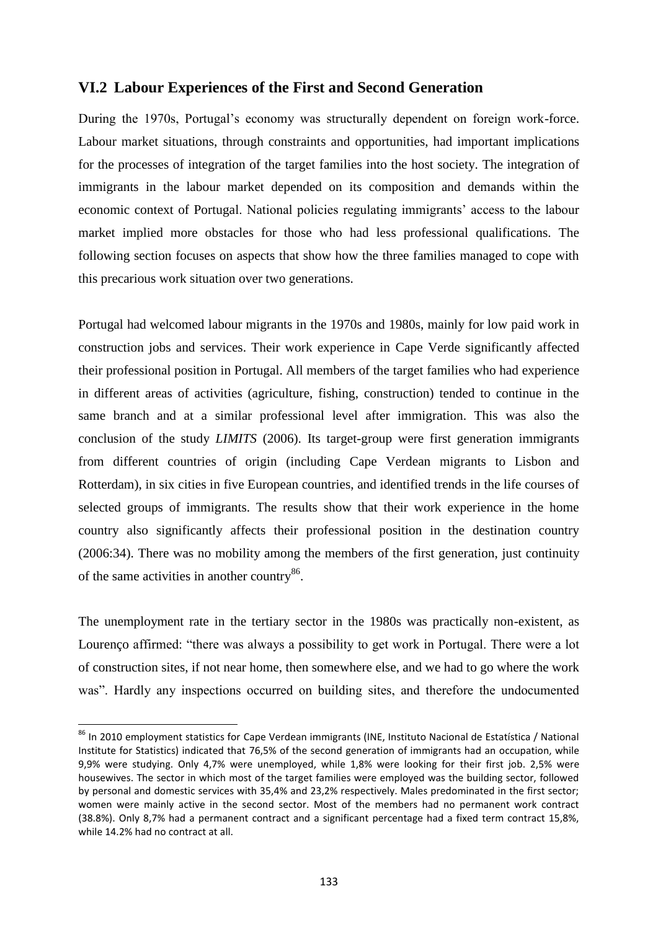## **VI.2 Labour Experiences of the First and Second Generation**

During the 1970s, Portugal's economy was structurally dependent on foreign work-force. Labour market situations, through constraints and opportunities, had important implications for the processes of integration of the target families into the host society. The integration of immigrants in the labour market depended on its composition and demands within the economic context of Portugal. National policies regulating immigrants' access to the labour market implied more obstacles for those who had less professional qualifications. The following section focuses on aspects that show how the three families managed to cope with this precarious work situation over two generations.

Portugal had welcomed labour migrants in the 1970s and 1980s, mainly for low paid work in construction jobs and services. Their work experience in Cape Verde significantly affected their professional position in Portugal. All members of the target families who had experience in different areas of activities (agriculture, fishing, construction) tended to continue in the same branch and at a similar professional level after immigration. This was also the conclusion of the study *LIMITS* (2006). Its target-group were first generation immigrants from different countries of origin (including Cape Verdean migrants to Lisbon and Rotterdam), in six cities in five European countries, and identified trends in the life courses of selected groups of immigrants. The results show that their work experience in the home country also significantly affects their professional position in the destination country (2006:34). There was no mobility among the members of the first generation, just continuity of the same activities in another country<sup>86</sup>.

The unemployment rate in the tertiary sector in the 1980s was practically non-existent, as Lourenço affirmed: "there was always a possibility to get work in Portugal. There were a lot of construction sites, if not near home, then somewhere else, and we had to go where the work was". Hardly any inspections occurred on building sites, and therefore the undocumented

 $\overline{a}$ 

<sup>&</sup>lt;sup>86</sup> In 2010 employment statistics for Cape Verdean immigrants (INE, Instituto Nacional de Estatística / National Institute for Statistics) indicated that 76,5% of the second generation of immigrants had an occupation, while 9,9% were studying. Only 4,7% were unemployed, while 1,8% were looking for their first job. 2,5% were housewives. The sector in which most of the target families were employed was the building sector, followed by personal and domestic services with 35,4% and 23,2% respectively. Males predominated in the first sector; women were mainly active in the second sector. Most of the members had no permanent work contract (38.8%). Only 8,7% had a permanent contract and a significant percentage had a fixed term contract 15,8%, while 14.2% had no contract at all.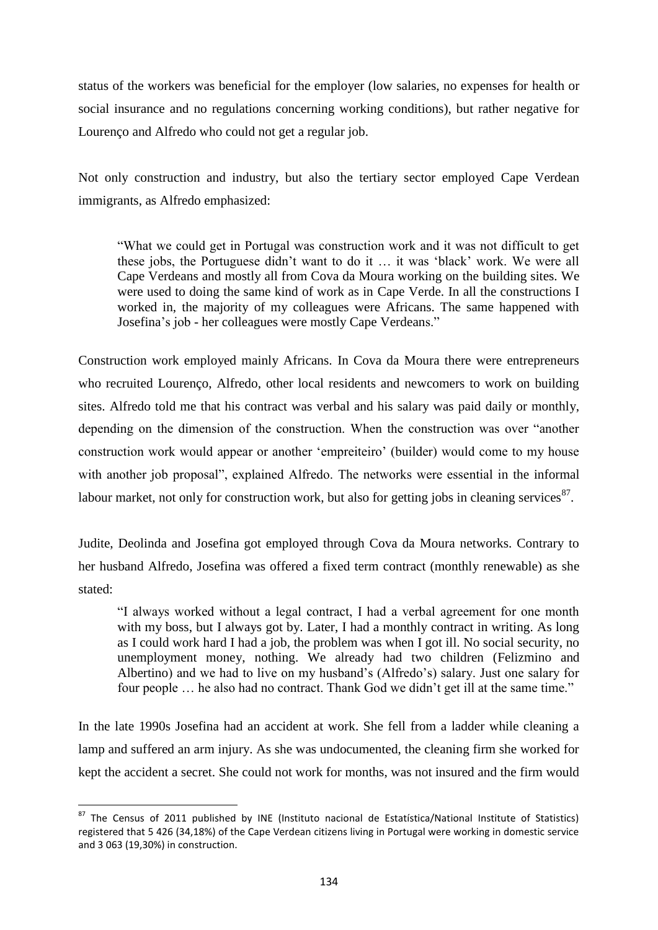status of the workers was beneficial for the employer (low salaries, no expenses for health or social insurance and no regulations concerning working conditions), but rather negative for Lourenço and Alfredo who could not get a regular job.

Not only construction and industry, but also the tertiary sector employed Cape Verdean immigrants, as Alfredo emphasized:

―What we could get in Portugal was construction work and it was not difficult to get these jobs, the Portuguese didn't want to do it … it was ‗black' work. We were all Cape Verdeans and mostly all from Cova da Moura working on the building sites. We were used to doing the same kind of work as in Cape Verde. In all the constructions I worked in, the majority of my colleagues were Africans. The same happened with Josefina's job - her colleagues were mostly Cape Verdeans."

Construction work employed mainly Africans. In Cova da Moura there were entrepreneurs who recruited Lourenço, Alfredo, other local residents and newcomers to work on building sites. Alfredo told me that his contract was verbal and his salary was paid daily or monthly, depending on the dimension of the construction. When the construction was over "another construction work would appear or another 'empreiteiro' (builder) would come to my house with another job proposal", explained Alfredo. The networks were essential in the informal labour market, not only for construction work, but also for getting jobs in cleaning services $^{87}$ .

Judite, Deolinda and Josefina got employed through Cova da Moura networks. Contrary to her husband Alfredo, Josefina was offered a fixed term contract (monthly renewable) as she stated:

―I always worked without a legal contract, I had a verbal agreement for one month with my boss, but I always got by. Later, I had a monthly contract in writing. As long as I could work hard I had a job, the problem was when I got ill. No social security, no unemployment money, nothing. We already had two children (Felizmino and Albertino) and we had to live on my husband's (Alfredo's) salary. Just one salary for four people ... he also had no contract. Thank God we didn't get ill at the same time."

In the late 1990s Josefina had an accident at work. She fell from a ladder while cleaning a lamp and suffered an arm injury. As she was undocumented, the cleaning firm she worked for kept the accident a secret. She could not work for months, was not insured and the firm would

 $\overline{\phantom{a}}$ 

<sup>87</sup> The Census of 2011 published by INE (Instituto nacional de Estatística/National Institute of Statistics) registered that 5 426 (34,18%) of the Cape Verdean citizens living in Portugal were working in domestic service and 3 063 (19,30%) in construction.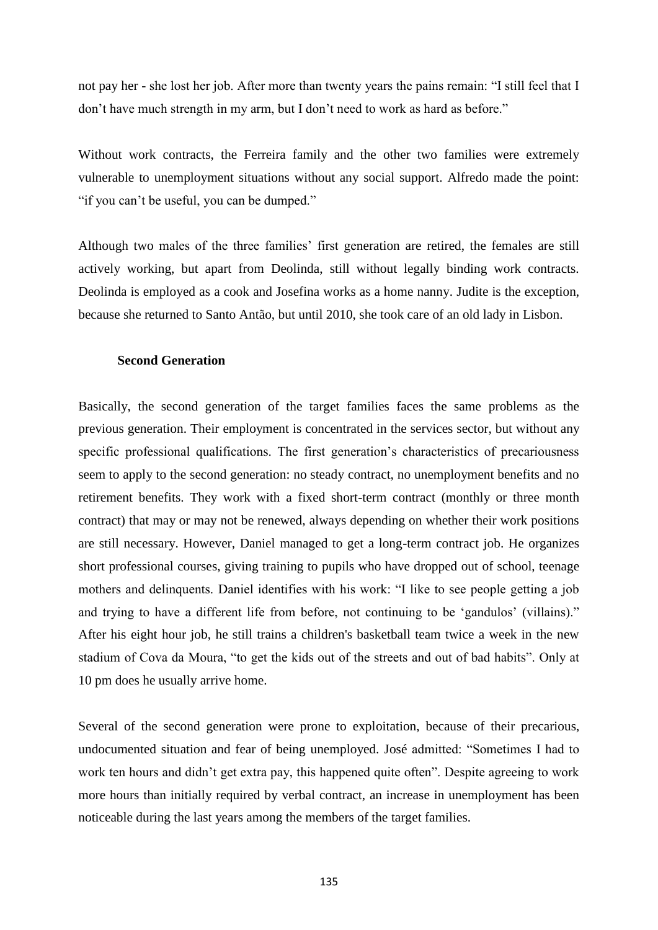not pay her - she lost her job. After more than twenty years the pains remain: "I still feel that I don't have much strength in my arm, but I don't need to work as hard as before."

Without work contracts, the Ferreira family and the other two families were extremely vulnerable to unemployment situations without any social support. Alfredo made the point: "if you can't be useful, you can be dumped."

Although two males of the three families' first generation are retired, the females are still actively working, but apart from Deolinda, still without legally binding work contracts. Deolinda is employed as a cook and Josefina works as a home nanny. Judite is the exception, because she returned to Santo Antão, but until 2010, she took care of an old lady in Lisbon.

### **Second Generation**

Basically, the second generation of the target families faces the same problems as the previous generation. Their employment is concentrated in the services sector, but without any specific professional qualifications. The first generation's characteristics of precariousness seem to apply to the second generation: no steady contract, no unemployment benefits and no retirement benefits. They work with a fixed short-term contract (monthly or three month contract) that may or may not be renewed, always depending on whether their work positions are still necessary. However, Daniel managed to get a long-term contract job. He organizes short professional courses, giving training to pupils who have dropped out of school, teenage mothers and delinquents. Daniel identifies with his work: "I like to see people getting a job and trying to have a different life from before, not continuing to be 'gandulos' (villains)." After his eight hour job, he still trains a children's basketball team twice a week in the new stadium of Cova da Moura, "to get the kids out of the streets and out of bad habits". Only at 10 pm does he usually arrive home.

Several of the second generation were prone to exploitation, because of their precarious, undocumented situation and fear of being unemployed. José admitted: "Sometimes I had to work ten hours and didn't get extra pay, this happened quite often". Despite agreeing to work more hours than initially required by verbal contract, an increase in unemployment has been noticeable during the last years among the members of the target families.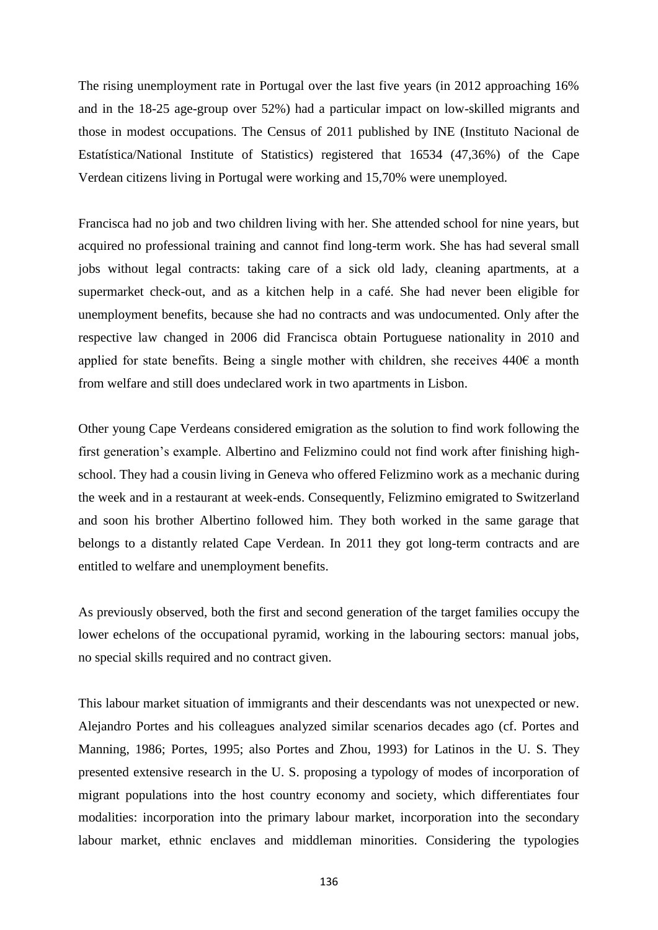The rising unemployment rate in Portugal over the last five years (in 2012 approaching 16% and in the 18-25 age-group over 52%) had a particular impact on low-skilled migrants and those in modest occupations. The Census of 2011 published by INE (Instituto Nacional de Estatística/National Institute of Statistics) registered that 16534 (47,36%) of the Cape Verdean citizens living in Portugal were working and 15,70% were unemployed.

Francisca had no job and two children living with her. She attended school for nine years, but acquired no professional training and cannot find long-term work. She has had several small jobs without legal contracts: taking care of a sick old lady, cleaning apartments, at a supermarket check-out, and as a kitchen help in a café. She had never been eligible for unemployment benefits, because she had no contracts and was undocumented. Only after the respective law changed in 2006 did Francisca obtain Portuguese nationality in 2010 and applied for state benefits. Being a single mother with children, she receives 440€ a month from welfare and still does undeclared work in two apartments in Lisbon.

Other young Cape Verdeans considered emigration as the solution to find work following the first generation's example. Albertino and Felizmino could not find work after finishing highschool. They had a cousin living in Geneva who offered Felizmino work as a mechanic during the week and in a restaurant at week-ends. Consequently, Felizmino emigrated to Switzerland and soon his brother Albertino followed him. They both worked in the same garage that belongs to a distantly related Cape Verdean. In 2011 they got long-term contracts and are entitled to welfare and unemployment benefits.

As previously observed, both the first and second generation of the target families occupy the lower echelons of the occupational pyramid, working in the labouring sectors: manual jobs, no special skills required and no contract given.

This labour market situation of immigrants and their descendants was not unexpected or new. Alejandro Portes and his colleagues analyzed similar scenarios decades ago (cf. Portes and Manning, 1986; Portes, 1995; also Portes and Zhou, 1993) for Latinos in the U. S. They presented extensive research in the U. S. proposing a typology of modes of incorporation of migrant populations into the host country economy and society, which differentiates four modalities: incorporation into the primary labour market, incorporation into the secondary labour market, ethnic enclaves and middleman minorities. Considering the typologies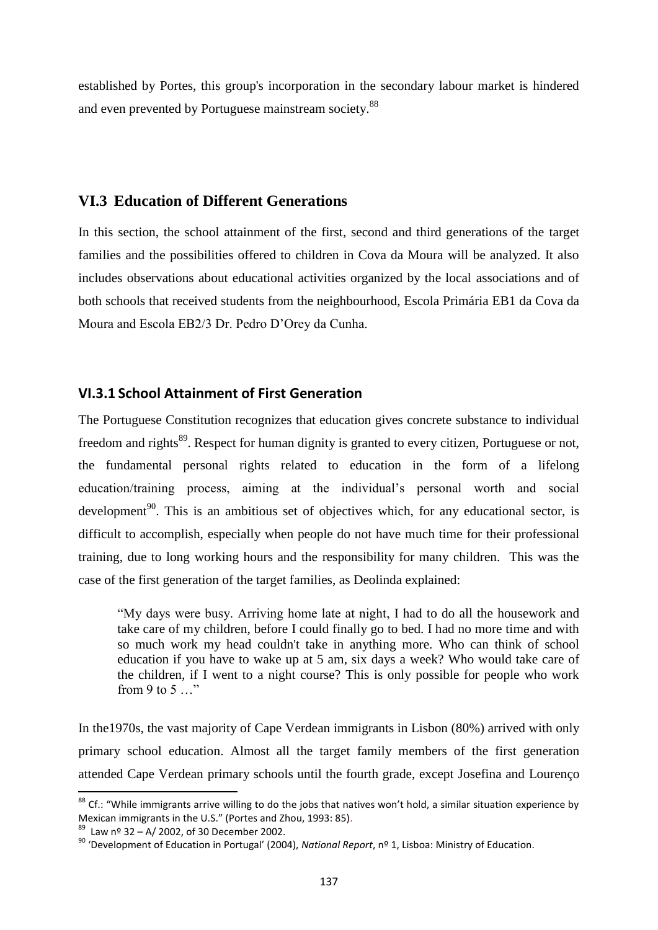established by Portes, this group's incorporation in the secondary labour market is hindered and even prevented by Portuguese mainstream society.<sup>88</sup>

## **VI.3 Education of Different Generations**

In this section, the school attainment of the first, second and third generations of the target families and the possibilities offered to children in Cova da Moura will be analyzed. It also includes observations about educational activities organized by the local associations and of both schools that received students from the neighbourhood, Escola Primária EB1 da Cova da Moura and Escola EB2/3 Dr. Pedro D'Orey da Cunha.

### **VI.3.1 School Attainment of First Generation**

The Portuguese Constitution recognizes that education gives concrete substance to individual freedom and rights<sup>89</sup>. Respect for human dignity is granted to every citizen, Portuguese or not, the fundamental personal rights related to education in the form of a lifelong education/training process, aiming at the individual's personal worth and social development<sup>90</sup>. This is an ambitious set of objectives which, for any educational sector, is difficult to accomplish, especially when people do not have much time for their professional training, due to long working hours and the responsibility for many children. This was the case of the first generation of the target families, as Deolinda explained:

―My days were busy. Arriving home late at night, I had to do all the housework and take care of my children, before I could finally go to bed. I had no more time and with so much work my head couldn't take in anything more. Who can think of school education if you have to wake up at 5 am, six days a week? Who would take care of the children, if I went to a night course? This is only possible for people who work from 9 to 5 $\ldots$ "

In the1970s, the vast majority of Cape Verdean immigrants in Lisbon (80%) arrived with only primary school education. Almost all the target family members of the first generation attended Cape Verdean primary schools until the fourth grade, except Josefina and Lourenço

 $\overline{\phantom{a}}$ 

 $^{88}$  Cf.: "While immigrants arrive willing to do the jobs that natives won't hold, a similar situation experience by Mexican immigrants in the U.S." (Portes and Zhou, 1993: 85).

 $89$  Law nº 32 – A/ 2002, of 30 December 2002.

<sup>90</sup> 'Development of Education in Portugal' (2004), *National Report*, nº 1, Lisboa: Ministry of Education.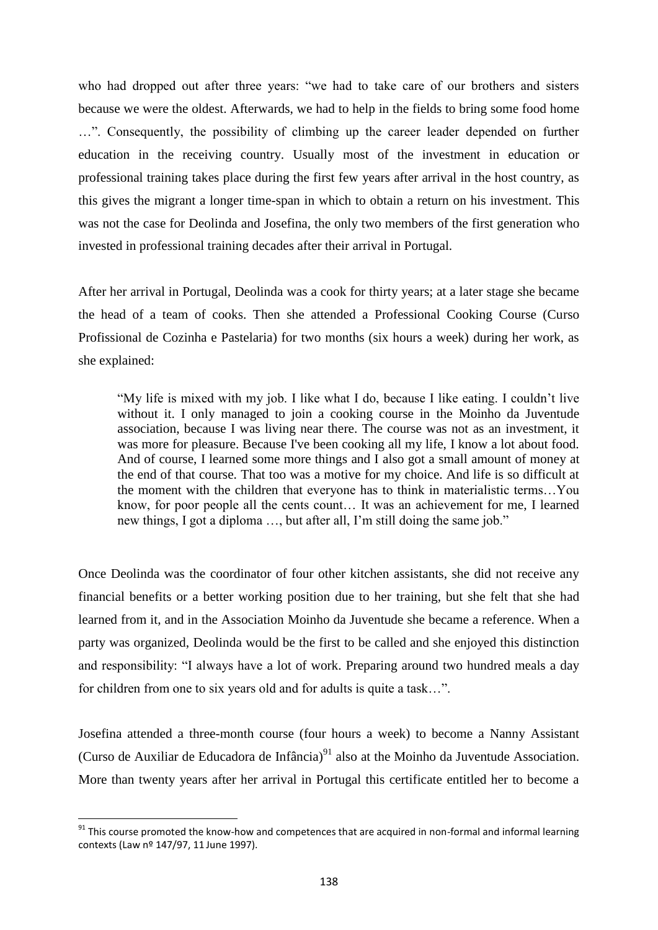who had dropped out after three years: "we had to take care of our brothers and sisters because we were the oldest. Afterwards, we had to help in the fields to bring some food home ...". Consequently, the possibility of climbing up the career leader depended on further education in the receiving country. Usually most of the investment in education or professional training takes place during the first few years after arrival in the host country, as this gives the migrant a longer time-span in which to obtain a return on his investment. This was not the case for Deolinda and Josefina, the only two members of the first generation who invested in professional training decades after their arrival in Portugal.

After her arrival in Portugal, Deolinda was a cook for thirty years; at a later stage she became the head of a team of cooks. Then she attended a Professional Cooking Course (Curso Profissional de Cozinha e Pastelaria) for two months (six hours a week) during her work, as she explained:

―My life is mixed with my job. I like what I do, because I like eating. I couldn't live without it. I only managed to join a cooking course in the Moinho da Juventude association, because I was living near there. The course was not as an investment, it was more for pleasure. Because I've been cooking all my life, I know a lot about food. And of course, I learned some more things and I also got a small amount of money at the end of that course. That too was a motive for my choice. And life is so difficult at the moment with the children that everyone has to think in materialistic terms…You know, for poor people all the cents count… It was an achievement for me, I learned new things, I got a diploma ..., but after all, I'm still doing the same job."

Once Deolinda was the coordinator of four other kitchen assistants, she did not receive any financial benefits or a better working position due to her training, but she felt that she had learned from it, and in the Association Moinho da Juventude she became a reference. When a party was organized, Deolinda would be the first to be called and she enjoyed this distinction and responsibility: "I always have a lot of work. Preparing around two hundred meals a day for children from one to six years old and for adults is quite a task...".

Josefina attended a three-month course (four hours a week) to become a Nanny Assistant (Curso de Auxiliar de Educadora de Infância) $91$  also at the Moinho da Juventude Association. More than twenty years after her arrival in Portugal this certificate entitled her to become a

 $\overline{a}$ 

 $91$  This course promoted the know-how and competences that are acquired in non-formal and informal learning contexts (Law nº 147/97, 11 June 1997).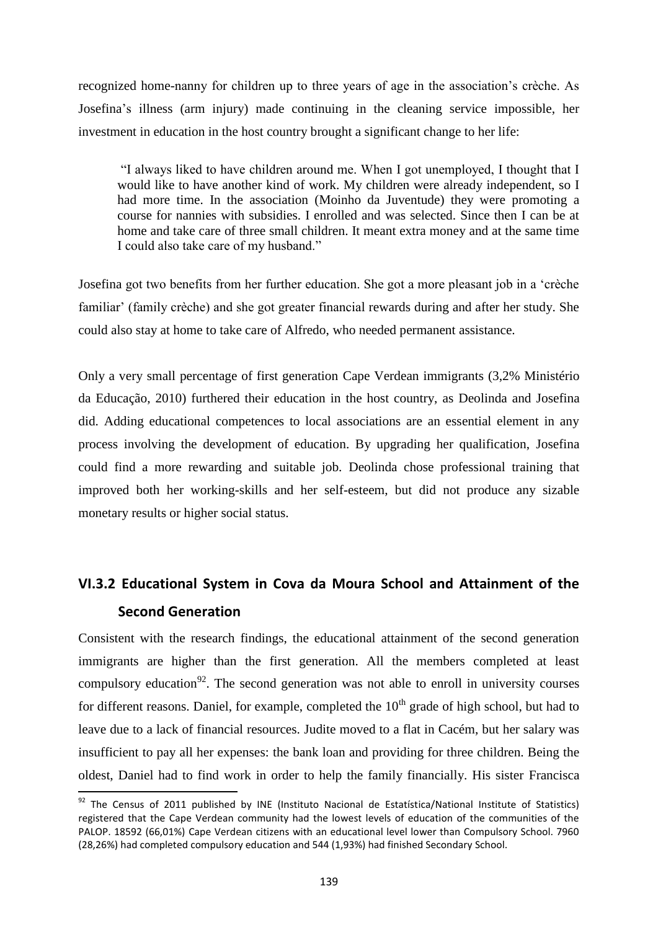recognized home-nanny for children up to three years of age in the association's crèche. As Josefina's illness (arm injury) made continuing in the cleaning service impossible, her investment in education in the host country brought a significant change to her life:

―I always liked to have children around me. When I got unemployed, I thought that I would like to have another kind of work. My children were already independent, so I had more time. In the association (Moinho da Juventude) they were promoting a course for nannies with subsidies. I enrolled and was selected. Since then I can be at home and take care of three small children. It meant extra money and at the same time I could also take care of my husband."

Josefina got two benefits from her further education. She got a more pleasant job in a 'crèche familiar' (family crèche) and she got greater financial rewards during and after her study. She could also stay at home to take care of Alfredo, who needed permanent assistance.

Only a very small percentage of first generation Cape Verdean immigrants (3,2% Ministério da Educação, 2010) furthered their education in the host country, as Deolinda and Josefina did. Adding educational competences to local associations are an essential element in any process involving the development of education. By upgrading her qualification, Josefina could find a more rewarding and suitable job. Deolinda chose professional training that improved both her working-skills and her self-esteem, but did not produce any sizable monetary results or higher social status.

# **VI.3.2 Educational System in Cova da Moura School and Attainment of the Second Generation**

Consistent with the research findings, the educational attainment of the second generation immigrants are higher than the first generation. All the members completed at least compulsory education<sup>92</sup>. The second generation was not able to enroll in university courses for different reasons. Daniel, for example, completed the  $10<sup>th</sup>$  grade of high school, but had to leave due to a lack of financial resources. Judite moved to a flat in Cacém, but her salary was insufficient to pay all her expenses: the bank loan and providing for three children. Being the oldest, Daniel had to find work in order to help the family financially. His sister Francisca

 $\overline{\phantom{a}}$ 

 $92$  The Census of 2011 published by INE (Instituto Nacional de Estatística/National Institute of Statistics) registered that the Cape Verdean community had the lowest levels of education of the communities of the PALOP. 18592 (66,01%) Cape Verdean citizens with an educational level lower than Compulsory School. 7960 (28,26%) had completed compulsory education and 544 (1,93%) had finished Secondary School.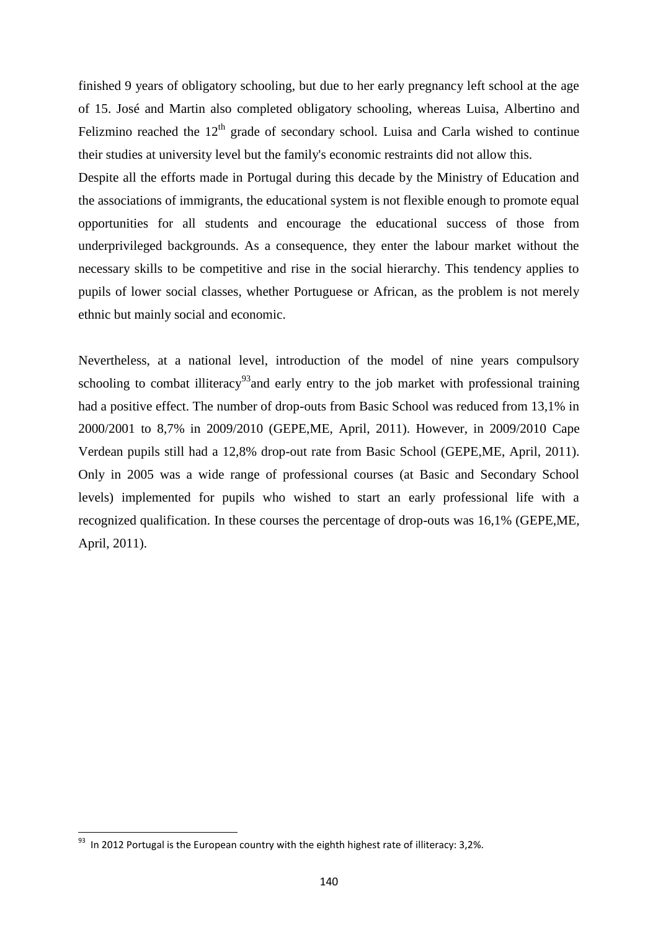finished 9 years of obligatory schooling, but due to her early pregnancy left school at the age of 15. José and Martin also completed obligatory schooling, whereas Luisa, Albertino and Felizmino reached the  $12<sup>th</sup>$  grade of secondary school. Luisa and Carla wished to continue their studies at university level but the family's economic restraints did not allow this.

Despite all the efforts made in Portugal during this decade by the Ministry of Education and the associations of immigrants, the educational system is not flexible enough to promote equal opportunities for all students and encourage the educational success of those from underprivileged backgrounds. As a consequence, they enter the labour market without the necessary skills to be competitive and rise in the social hierarchy. This tendency applies to pupils of lower social classes, whether Portuguese or African, as the problem is not merely ethnic but mainly social and economic.

Nevertheless, at a national level, introduction of the model of nine years compulsory schooling to combat illiteracy<sup>93</sup> and early entry to the job market with professional training had a positive effect. The number of drop-outs from Basic School was reduced from 13,1% in 2000/2001 to 8,7% in 2009/2010 (GEPE,ME, April, 2011). However, in 2009/2010 Cape Verdean pupils still had a 12,8% drop-out rate from Basic School (GEPE,ME, April, 2011). Only in 2005 was a wide range of professional courses (at Basic and Secondary School levels) implemented for pupils who wished to start an early professional life with a recognized qualification. In these courses the percentage of drop-outs was 16,1% (GEPE,ME, April, 2011).

 $\overline{\phantom{a}}$ 

 $^{93}$  In 2012 Portugal is the European country with the eighth highest rate of illiteracy: 3,2%.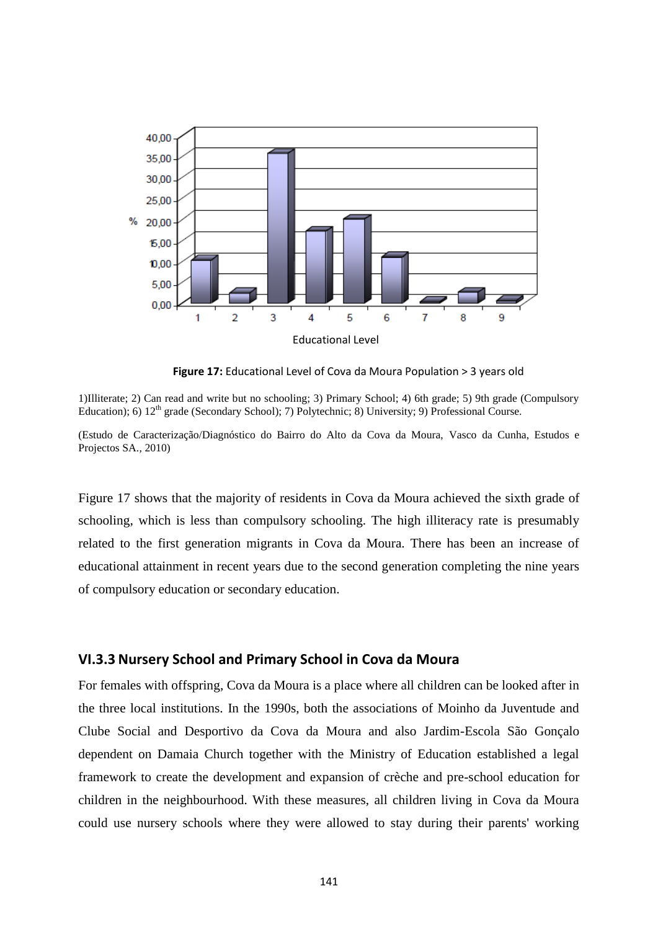

**Figure 17:** Educational Level of Cova da Moura Population > 3 years old

1)Illiterate; 2) Can read and write but no schooling; 3) Primary School; 4) 6th grade; 5) 9th grade (Compulsory Education); 6) 12<sup>th</sup> grade (Secondary School); 7) Polytechnic; 8) University; 9) Professional Course.

(Estudo de Caracterização/Diagnóstico do Bairro do Alto da Cova da Moura, Vasco da Cunha, Estudos e Projectos SA., 2010)

Figure 17 shows that the majority of residents in Cova da Moura achieved the sixth grade of schooling, which is less than compulsory schooling. The high illiteracy rate is presumably related to the first generation migrants in Cova da Moura. There has been an increase of educational attainment in recent years due to the second generation completing the nine years of compulsory education or secondary education.

### **VI.3.3 Nursery School and Primary School in Cova da Moura**

For females with offspring, Cova da Moura is a place where all children can be looked after in the three local institutions. In the 1990s, both the associations of Moinho da Juventude and Clube Social and Desportivo da Cova da Moura and also Jardim-Escola São Gonçalo dependent on Damaia Church together with the Ministry of Education established a legal framework to create the development and expansion of crèche and pre-school education for children in the neighbourhood. With these measures, all children living in Cova da Moura could use nursery schools where they were allowed to stay during their parents' working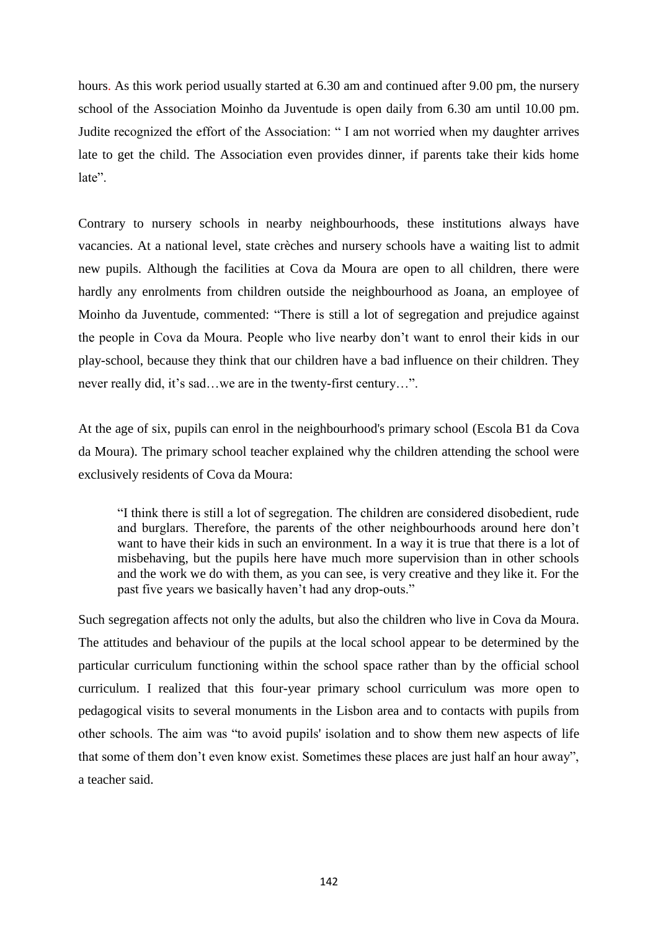hours. As this work period usually started at 6.30 am and continued after 9.00 pm, the nursery school of the Association Moinho da Juventude is open daily from 6.30 am until 10.00 pm. Judite recognized the effort of the Association: "I am not worried when my daughter arrives late to get the child. The Association even provides dinner, if parents take their kids home late".

Contrary to nursery schools in nearby neighbourhoods, these institutions always have vacancies. At a national level, state crèches and nursery schools have a waiting list to admit new pupils. Although the facilities at Cova da Moura are open to all children, there were hardly any enrolments from children outside the neighbourhood as Joana, an employee of Moinho da Juventude, commented: "There is still a lot of segregation and prejudice against the people in Cova da Moura. People who live nearby don't want to enrol their kids in our play-school, because they think that our children have a bad influence on their children. They never really did, it's sad...we are in the twenty-first century...".

At the age of six, pupils can enrol in the neighbourhood's primary school (Escola B1 da Cova da Moura). The primary school teacher explained why the children attending the school were exclusively residents of Cova da Moura:

―I think there is still a lot of segregation. The children are considered disobedient, rude and burglars. Therefore, the parents of the other neighbourhoods around here don't want to have their kids in such an environment. In a way it is true that there is a lot of misbehaving, but the pupils here have much more supervision than in other schools and the work we do with them, as you can see, is very creative and they like it. For the past five years we basically haven't had any drop-outs."

Such segregation affects not only the adults, but also the children who live in Cova da Moura. The attitudes and behaviour of the pupils at the local school appear to be determined by the particular curriculum functioning within the school space rather than by the official school curriculum. I realized that this four-year primary school curriculum was more open to pedagogical visits to several monuments in the Lisbon area and to contacts with pupils from other schools. The aim was "to avoid pupils' isolation and to show them new aspects of life that some of them don't even know exist. Sometimes these places are just half an hour away", a teacher said.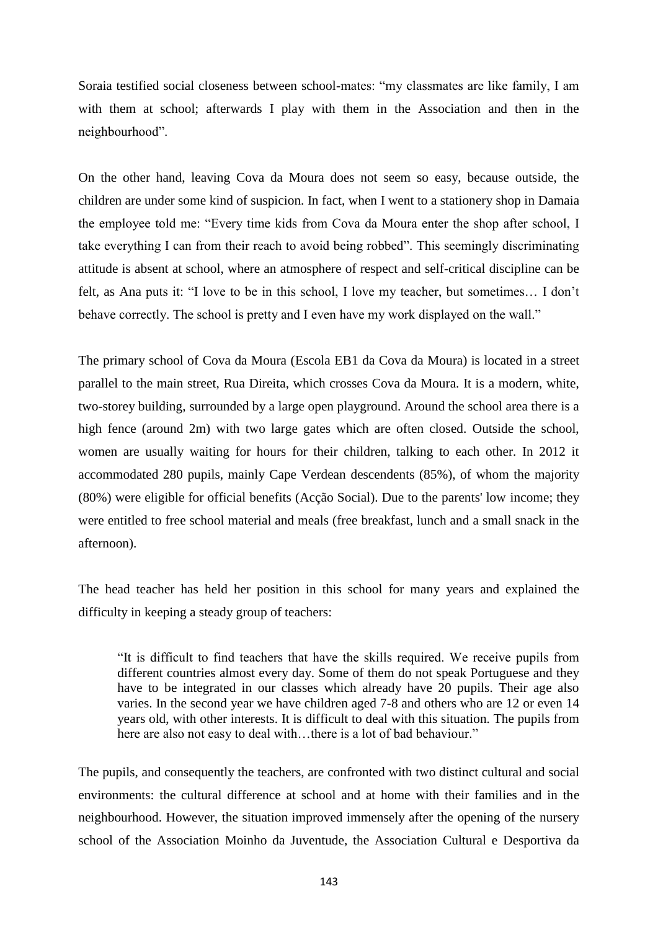Soraia testified social closeness between school-mates: "my classmates are like family, I am with them at school; afterwards I play with them in the Association and then in the neighbourhood".

On the other hand, leaving Cova da Moura does not seem so easy, because outside, the children are under some kind of suspicion. In fact, when I went to a stationery shop in Damaia the employee told me: "Every time kids from Cova da Moura enter the shop after school, I take everything I can from their reach to avoid being robbed". This seemingly discriminating attitude is absent at school, where an atmosphere of respect and self-critical discipline can be felt, as Ana puts it: "I love to be in this school, I love my teacher, but sometimes... I don't behave correctly. The school is pretty and I even have my work displayed on the wall."

The primary school of Cova da Moura (Escola EB1 da Cova da Moura) is located in a street parallel to the main street, Rua Direita, which crosses Cova da Moura. It is a modern, white, two-storey building, surrounded by a large open playground. Around the school area there is a high fence (around 2m) with two large gates which are often closed. Outside the school, women are usually waiting for hours for their children, talking to each other. In 2012 it accommodated 280 pupils, mainly Cape Verdean descendents (85%), of whom the majority (80%) were eligible for official benefits (Acção Social). Due to the parents' low income; they were entitled to free school material and meals (free breakfast, lunch and a small snack in the afternoon).

The head teacher has held her position in this school for many years and explained the difficulty in keeping a steady group of teachers:

―It is difficult to find teachers that have the skills required. We receive pupils from different countries almost every day. Some of them do not speak Portuguese and they have to be integrated in our classes which already have 20 pupils. Their age also varies. In the second year we have children aged 7-8 and others who are 12 or even 14 years old, with other interests. It is difficult to deal with this situation. The pupils from here are also not easy to deal with...there is a lot of bad behaviour."

The pupils, and consequently the teachers, are confronted with two distinct cultural and social environments: the cultural difference at school and at home with their families and in the neighbourhood. However, the situation improved immensely after the opening of the nursery school of the Association Moinho da Juventude, the Association Cultural e Desportiva da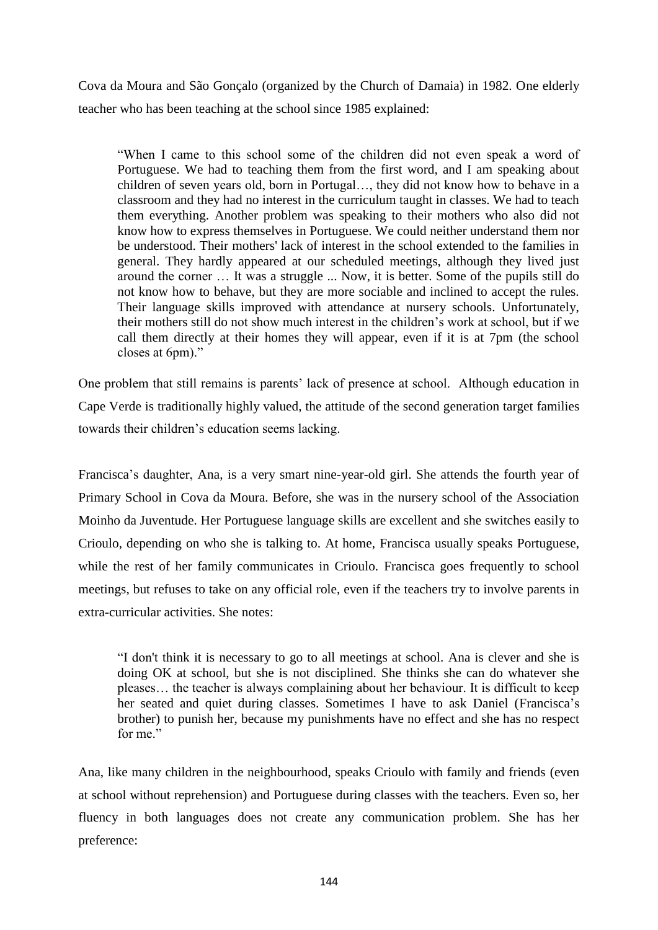Cova da Moura and São Gonçalo (organized by the Church of Damaia) in 1982. One elderly teacher who has been teaching at the school since 1985 explained:

―When I came to this school some of the children did not even speak a word of Portuguese. We had to teaching them from the first word, and I am speaking about children of seven years old, born in Portugal…, they did not know how to behave in a classroom and they had no interest in the curriculum taught in classes. We had to teach them everything. Another problem was speaking to their mothers who also did not know how to express themselves in Portuguese. We could neither understand them nor be understood. Their mothers' lack of interest in the school extended to the families in general. They hardly appeared at our scheduled meetings, although they lived just around the corner … It was a struggle ... Now, it is better. Some of the pupils still do not know how to behave, but they are more sociable and inclined to accept the rules. Their language skills improved with attendance at nursery schools. Unfortunately, their mothers still do not show much interest in the children's work at school, but if we call them directly at their homes they will appear, even if it is at 7pm (the school closes at 6pm)."

One problem that still remains is parents' lack of presence at school. Although education in Cape Verde is traditionally highly valued, the attitude of the second generation target families towards their children's education seems lacking.

Francisca's daughter, Ana, is a very smart nine-year-old girl. She attends the fourth year of Primary School in Cova da Moura. Before, she was in the nursery school of the Association Moinho da Juventude. Her Portuguese language skills are excellent and she switches easily to Crioulo, depending on who she is talking to. At home, Francisca usually speaks Portuguese, while the rest of her family communicates in Crioulo. Francisca goes frequently to school meetings, but refuses to take on any official role, even if the teachers try to involve parents in extra-curricular activities. She notes:

"I don't think it is necessary to go to all meetings at school. Ana is clever and she is doing OK at school, but she is not disciplined. She thinks she can do whatever she pleases… the teacher is always complaining about her behaviour. It is difficult to keep her seated and quiet during classes. Sometimes I have to ask Daniel (Francisca's brother) to punish her, because my punishments have no effect and she has no respect for me."

Ana, like many children in the neighbourhood, speaks Crioulo with family and friends (even at school without reprehension) and Portuguese during classes with the teachers. Even so, her fluency in both languages does not create any communication problem. She has her preference: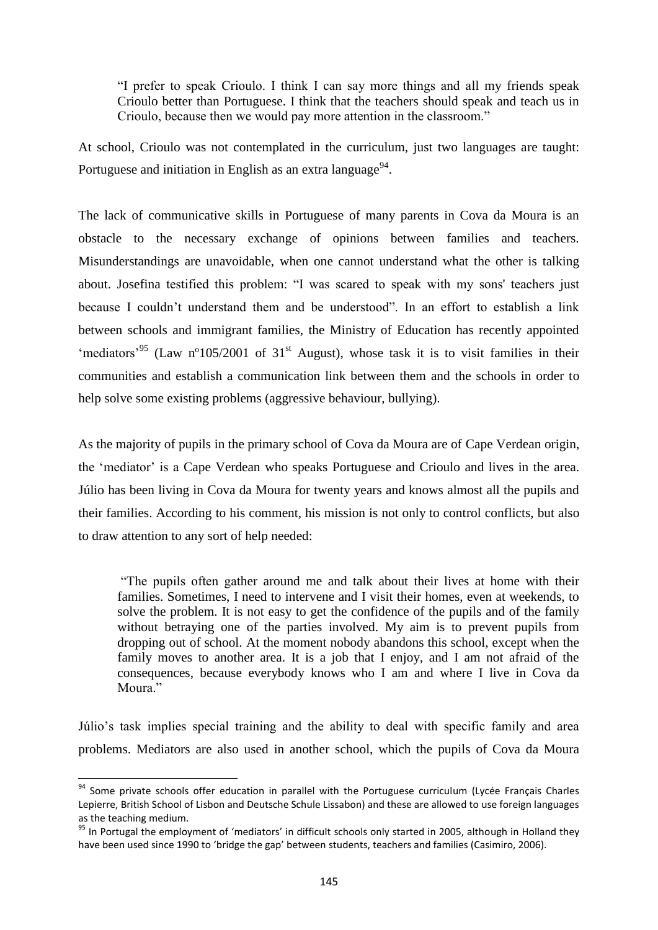―I prefer to speak Crioulo. I think I can say more things and all my friends speak Crioulo better than Portuguese. I think that the teachers should speak and teach us in Crioulo, because then we would pay more attention in the classroom."

At school, Crioulo was not contemplated in the curriculum, just two languages are taught: Portuguese and initiation in English as an extra language<sup>94</sup>.

The lack of communicative skills in Portuguese of many parents in Cova da Moura is an obstacle to the necessary exchange of opinions between families and teachers. Misunderstandings are unavoidable, when one cannot understand what the other is talking about. Josefina testified this problem: "I was scared to speak with my sons' teachers just because I couldn't understand them and be understood". In an effort to establish a link between schools and immigrant families, the Ministry of Education has recently appointed 'mediators'<sup>95</sup> (Law n°105/2001 of 31<sup>st</sup> August), whose task it is to visit families in their communities and establish a communication link between them and the schools in order to help solve some existing problems (aggressive behaviour, bullying).

As the majority of pupils in the primary school of Cova da Moura are of Cape Verdean origin, the ‗mediator' is a Cape Verdean who speaks Portuguese and Crioulo and lives in the area. Júlio has been living in Cova da Moura for twenty years and knows almost all the pupils and their families. According to his comment, his mission is not only to control conflicts, but also to draw attention to any sort of help needed:

―The pupils often gather around me and talk about their lives at home with their families. Sometimes, I need to intervene and I visit their homes, even at weekends, to solve the problem. It is not easy to get the confidence of the pupils and of the family without betraying one of the parties involved. My aim is to prevent pupils from dropping out of school. At the moment nobody abandons this school, except when the family moves to another area. It is a job that I enjoy, and I am not afraid of the consequences, because everybody knows who I am and where I live in Cova da Moura."

Júlio's task implies special training and the ability to deal with specific family and area problems. Mediators are also used in another school, which the pupils of Cova da Moura

 $\overline{a}$ 

<sup>&</sup>lt;sup>94</sup> Some private schools offer education in parallel with the Portuguese curriculum (Lycée Français Charles Lepierre, British School of Lisbon and Deutsche Schule Lissabon) and these are allowed to use foreign languages as the teaching medium.

<sup>95</sup> In Portugal the employment of 'mediators' in difficult schools only started in 2005, although in Holland they have been used since 1990 to 'bridge the gap' between students, teachers and families (Casimiro, 2006).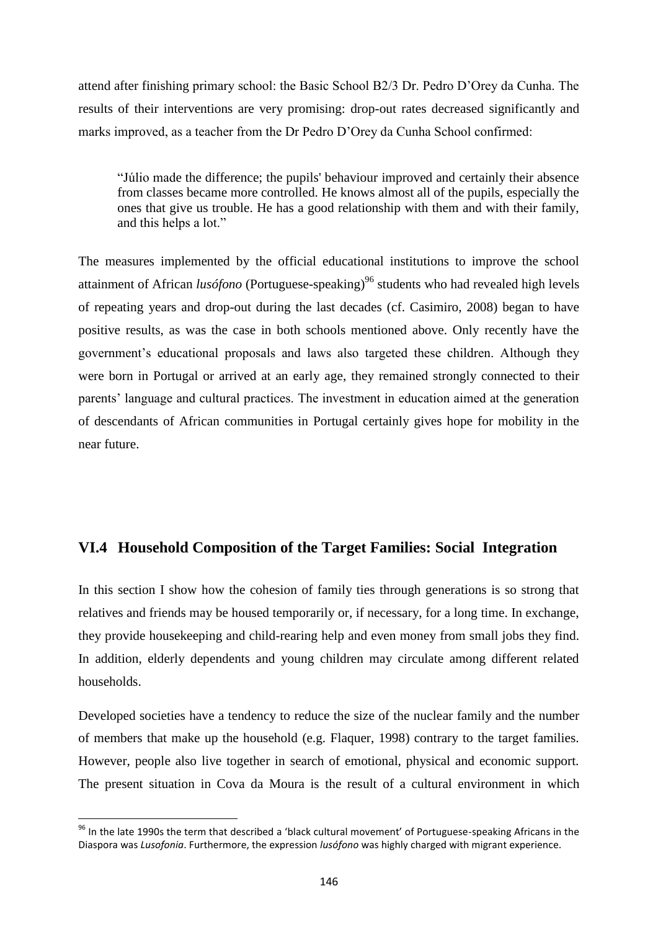attend after finishing primary school: the Basic School B2/3 Dr. Pedro D'Orey da Cunha. The results of their interventions are very promising: drop-out rates decreased significantly and marks improved, as a teacher from the Dr Pedro D'Orey da Cunha School confirmed:

―Júlio made the difference; the pupils' behaviour improved and certainly their absence from classes became more controlled. He knows almost all of the pupils, especially the ones that give us trouble. He has a good relationship with them and with their family, and this helps a lot."

The measures implemented by the official educational institutions to improve the school attainment of African *lusófono* (Portuguese-speaking)<sup>96</sup> students who had revealed high levels of repeating years and drop-out during the last decades (cf. Casimiro, 2008) began to have positive results, as was the case in both schools mentioned above. Only recently have the government's educational proposals and laws also targeted these children. Although they were born in Portugal or arrived at an early age, they remained strongly connected to their parents' language and cultural practices. The investment in education aimed at the generation of descendants of African communities in Portugal certainly gives hope for mobility in the near future.

# **VI.4 Household Composition of the Target Families: Social Integration**

In this section I show how the cohesion of family ties through generations is so strong that relatives and friends may be housed temporarily or, if necessary, for a long time. In exchange, they provide housekeeping and child-rearing help and even money from small jobs they find. In addition, elderly dependents and young children may circulate among different related households.

Developed societies have a tendency to reduce the size of the nuclear family and the number of members that make up the household (e.g. Flaquer, 1998) contrary to the target families. However, people also live together in search of emotional, physical and economic support. The present situation in Cova da Moura is the result of a cultural environment in which

 $\overline{a}$ 

 $96$  In the late 1990s the term that described a 'black cultural movement' of Portuguese-speaking Africans in the Diaspora was *Lusofonia*. Furthermore, the expression *lusófono* was highly charged with migrant experience.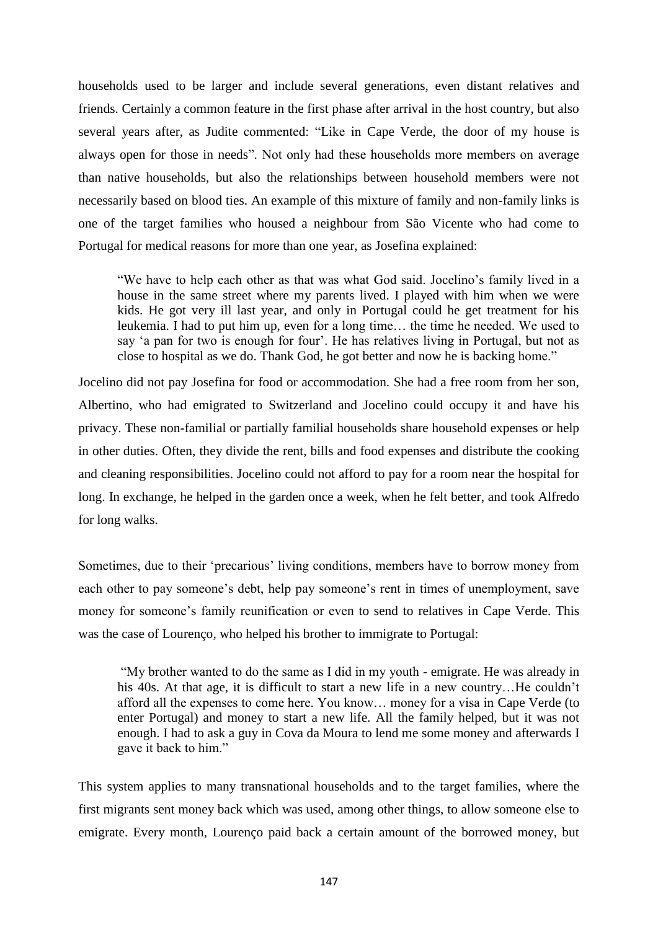households used to be larger and include several generations, even distant relatives and friends. Certainly a common feature in the first phase after arrival in the host country, but also several years after, as Judite commented: "Like in Cape Verde, the door of my house is always open for those in needs". Not only had these households more members on average than native households, but also the relationships between household members were not necessarily based on blood ties. An example of this mixture of family and non-family links is one of the target families who housed a neighbour from São Vicente who had come to Portugal for medical reasons for more than one year, as Josefina explained:

―We have to help each other as that was what God said. Jocelino's family lived in a house in the same street where my parents lived. I played with him when we were kids. He got very ill last year, and only in Portugal could he get treatment for his leukemia. I had to put him up, even for a long time… the time he needed. We used to say 'a pan for two is enough for four'. He has relatives living in Portugal, but not as close to hospital as we do. Thank God, he got better and now he is backing home."

Jocelino did not pay Josefina for food or accommodation. She had a free room from her son, Albertino, who had emigrated to Switzerland and Jocelino could occupy it and have his privacy. These non-familial or partially familial households share household expenses or help in other duties. Often, they divide the rent, bills and food expenses and distribute the cooking and cleaning responsibilities. Jocelino could not afford to pay for a room near the hospital for long. In exchange, he helped in the garden once a week, when he felt better, and took Alfredo for long walks.

Sometimes, due to their 'precarious' living conditions, members have to borrow money from each other to pay someone's debt, help pay someone's rent in times of unemployment, save money for someone's family reunification or even to send to relatives in Cape Verde. This was the case of Lourenço, who helped his brother to immigrate to Portugal:

―My brother wanted to do the same as I did in my youth - emigrate. He was already in his 40s. At that age, it is difficult to start a new life in a new country...He couldn't afford all the expenses to come here. You know… money for a visa in Cape Verde (to enter Portugal) and money to start a new life. All the family helped, but it was not enough. I had to ask a guy in Cova da Moura to lend me some money and afterwards I gave it back to him."

This system applies to many transnational households and to the target families, where the first migrants sent money back which was used, among other things, to allow someone else to emigrate. Every month, Lourenço paid back a certain amount of the borrowed money, but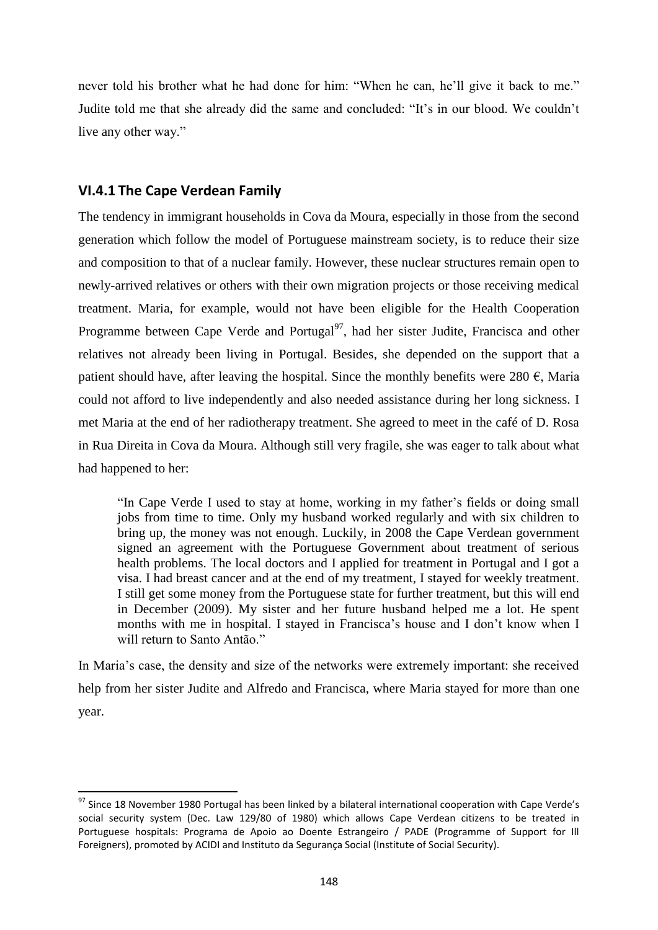never told his brother what he had done for him: "When he can, he'll give it back to me." Judite told me that she already did the same and concluded: "It's in our blood. We couldn't live any other way."

# **VI.4.1 The Cape Verdean Family**

The tendency in immigrant households in Cova da Moura, especially in those from the second generation which follow the model of Portuguese mainstream society, is to reduce their size and composition to that of a nuclear family. However, these nuclear structures remain open to newly-arrived relatives or others with their own migration projects or those receiving medical treatment. Maria, for example, would not have been eligible for the Health Cooperation Programme between Cape Verde and Portugal $^{97}$ , had her sister Judite, Francisca and other relatives not already been living in Portugal. Besides, she depended on the support that a patient should have, after leaving the hospital. Since the monthly benefits were 280  $\epsilon$ , Maria could not afford to live independently and also needed assistance during her long sickness. I met Maria at the end of her radiotherapy treatment. She agreed to meet in the café of D. Rosa in Rua Direita in Cova da Moura. Although still very fragile, she was eager to talk about what had happened to her:

"In Cape Verde I used to stay at home, working in my father's fields or doing small jobs from time to time. Only my husband worked regularly and with six children to bring up, the money was not enough. Luckily, in 2008 the Cape Verdean government signed an agreement with the Portuguese Government about treatment of serious health problems. The local doctors and I applied for treatment in Portugal and I got a visa. I had breast cancer and at the end of my treatment, I stayed for weekly treatment. I still get some money from the Portuguese state for further treatment, but this will end in December (2009). My sister and her future husband helped me a lot. He spent months with me in hospital. I stayed in Francisca's house and I don't know when I will return to Santo Antão."

In Maria's case, the density and size of the networks were extremely important: she received help from her sister Judite and Alfredo and Francisca, where Maria stayed for more than one year.

 $\overline{\phantom{a}}$  $^{97}$  Since 18 November 1980 Portugal has been linked by a bilateral international cooperation with Cape Verde's social security system (Dec. Law 129/80 of 1980) which allows Cape Verdean citizens to be treated in Portuguese hospitals: Programa de Apoio ao Doente Estrangeiro / PADE (Programme of Support for Ill Foreigners), promoted by ACIDI and Instituto da Segurança Social (Institute of Social Security).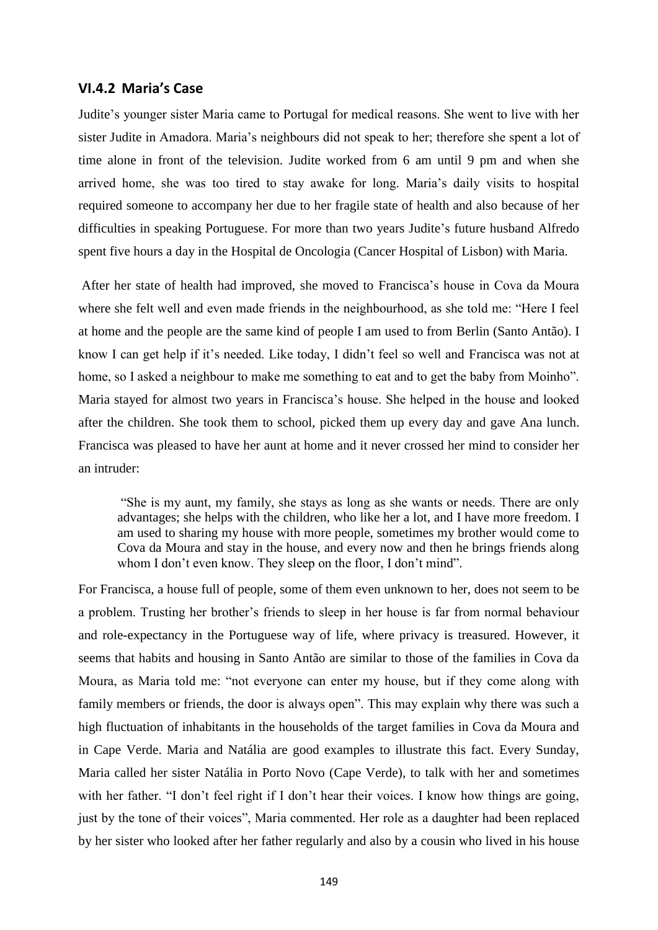#### **VI.4.2 Maria's Case**

Judite's younger sister Maria came to Portugal for medical reasons. She went to live with her sister Judite in Amadora. Maria's neighbours did not speak to her; therefore she spent a lot of time alone in front of the television. Judite worked from 6 am until 9 pm and when she arrived home, she was too tired to stay awake for long. Maria's daily visits to hospital required someone to accompany her due to her fragile state of health and also because of her difficulties in speaking Portuguese. For more than two years Judite's future husband Alfredo spent five hours a day in the Hospital de Oncologia (Cancer Hospital of Lisbon) with Maria.

After her state of health had improved, she moved to Francisca's house in Cova da Moura where she felt well and even made friends in the neighbourhood, as she told me: "Here I feel at home and the people are the same kind of people I am used to from Berlin (Santo Antão). I know I can get help if it's needed. Like today, I didn't feel so well and Francisca was not at home, so I asked a neighbour to make me something to eat and to get the baby from Moinho". Maria stayed for almost two years in Francisca's house. She helped in the house and looked after the children. She took them to school, picked them up every day and gave Ana lunch. Francisca was pleased to have her aunt at home and it never crossed her mind to consider her an intruder:

―She is my aunt, my family, she stays as long as she wants or needs. There are only advantages; she helps with the children, who like her a lot, and I have more freedom. I am used to sharing my house with more people, sometimes my brother would come to Cova da Moura and stay in the house, and every now and then he brings friends along whom I don't even know. They sleep on the floor, I don't mind".

For Francisca, a house full of people, some of them even unknown to her, does not seem to be a problem. Trusting her brother's friends to sleep in her house is far from normal behaviour and role-expectancy in the Portuguese way of life, where privacy is treasured. However, it seems that habits and housing in Santo Antão are similar to those of the families in Cova da Moura, as Maria told me: "not everyone can enter my house, but if they come along with family members or friends, the door is always open". This may explain why there was such a high fluctuation of inhabitants in the households of the target families in Cova da Moura and in Cape Verde. Maria and Natália are good examples to illustrate this fact. Every Sunday, Maria called her sister Natália in Porto Novo (Cape Verde), to talk with her and sometimes with her father. "I don't feel right if I don't hear their voices. I know how things are going, just by the tone of their voices", Maria commented. Her role as a daughter had been replaced by her sister who looked after her father regularly and also by a cousin who lived in his house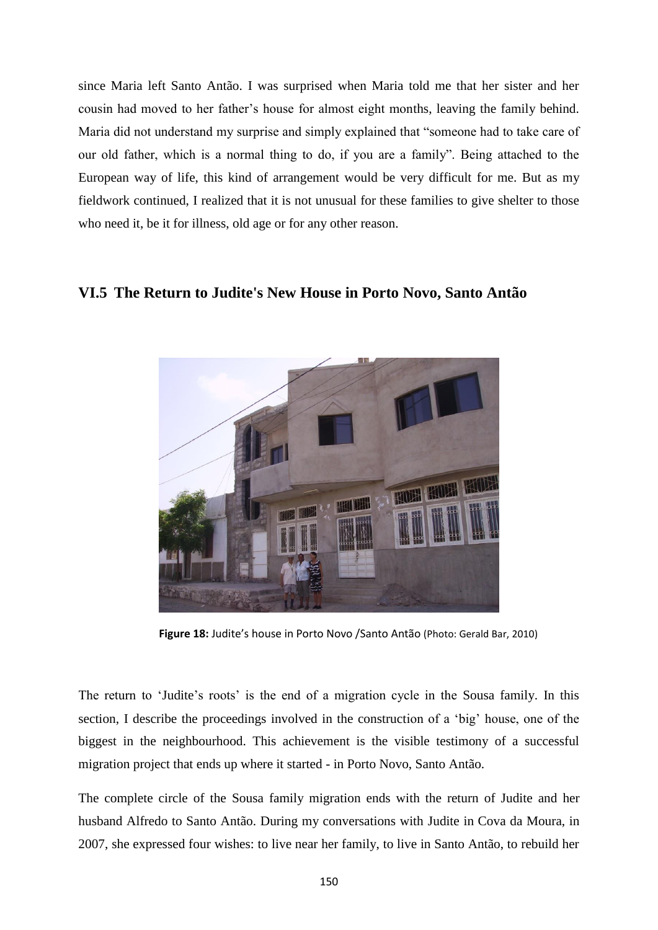since Maria left Santo Antão. I was surprised when Maria told me that her sister and her cousin had moved to her father's house for almost eight months, leaving the family behind. Maria did not understand my surprise and simply explained that "someone had to take care of our old father, which is a normal thing to do, if you are a family". Being attached to the European way of life, this kind of arrangement would be very difficult for me. But as my fieldwork continued, I realized that it is not unusual for these families to give shelter to those who need it, be it for illness, old age or for any other reason.

# **VI.5 The Return to Judite's New House in Porto Novo, Santo Antão**



**Figure 18:** Judite's house in Porto Novo /Santo Antão (Photo: Gerald Bar, 2010)

The return to 'Judite's roots' is the end of a migration cycle in the Sousa family. In this section, I describe the proceedings involved in the construction of a 'big' house, one of the biggest in the neighbourhood. This achievement is the visible testimony of a successful migration project that ends up where it started - in Porto Novo, Santo Antão.

The complete circle of the Sousa family migration ends with the return of Judite and her husband Alfredo to Santo Antão. During my conversations with Judite in Cova da Moura, in 2007, she expressed four wishes: to live near her family, to live in Santo Antão, to rebuild her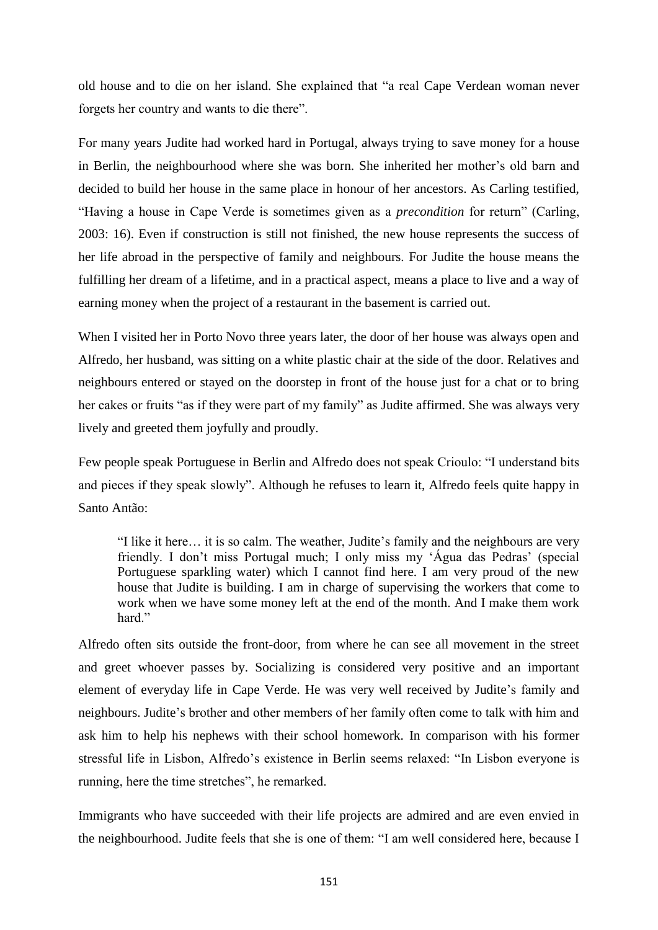old house and to die on her island. She explained that "a real Cape Verdean woman never forgets her country and wants to die there".

For many years Judite had worked hard in Portugal, always trying to save money for a house in Berlin, the neighbourhood where she was born. She inherited her mother's old barn and decided to build her house in the same place in honour of her ancestors. As Carling testified, "Having a house in Cape Verde is sometimes given as a *precondition* for return" (Carling, 2003: 16). Even if construction is still not finished, the new house represents the success of her life abroad in the perspective of family and neighbours. For Judite the house means the fulfilling her dream of a lifetime, and in a practical aspect, means a place to live and a way of earning money when the project of a restaurant in the basement is carried out.

When I visited her in Porto Novo three years later, the door of her house was always open and Alfredo, her husband, was sitting on a white plastic chair at the side of the door. Relatives and neighbours entered or stayed on the doorstep in front of the house just for a chat or to bring her cakes or fruits "as if they were part of my family" as Judite affirmed. She was always very lively and greeted them joyfully and proudly.

Few people speak Portuguese in Berlin and Alfredo does not speak Crioulo: "I understand bits and pieces if they speak slowly". Although he refuses to learn it, Alfredo feels quite happy in Santo Antão:

"I like it here… it is so calm. The weather, Judite's family and the neighbours are very friendly. I don't miss Portugal much; I only miss my 'Água das Pedras' (special Portuguese sparkling water) which I cannot find here. I am very proud of the new house that Judite is building. I am in charge of supervising the workers that come to work when we have some money left at the end of the month. And I make them work hard."

Alfredo often sits outside the front-door, from where he can see all movement in the street and greet whoever passes by. Socializing is considered very positive and an important element of everyday life in Cape Verde. He was very well received by Judite's family and neighbours. Judite's brother and other members of her family often come to talk with him and ask him to help his nephews with their school homework. In comparison with his former stressful life in Lisbon, Alfredo's existence in Berlin seems relaxed: "In Lisbon everyone is running, here the time stretches", he remarked.

Immigrants who have succeeded with their life projects are admired and are even envied in the neighbourhood. Judite feels that she is one of them: "I am well considered here, because I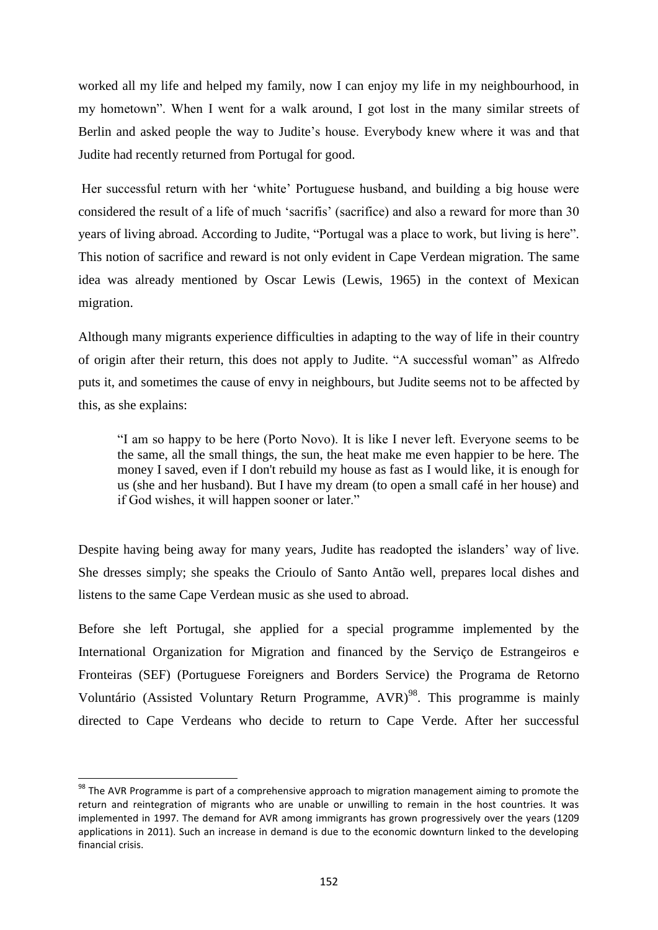worked all my life and helped my family, now I can enjoy my life in my neighbourhood, in my hometown". When I went for a walk around, I got lost in the many similar streets of Berlin and asked people the way to Judite's house. Everybody knew where it was and that Judite had recently returned from Portugal for good.

Her successful return with her 'white' Portuguese husband, and building a big house were considered the result of a life of much 'sacrifis' (sacrifice) and also a reward for more than 30 years of living abroad. According to Judite, "Portugal was a place to work, but living is here". This notion of sacrifice and reward is not only evident in Cape Verdean migration. The same idea was already mentioned by Oscar Lewis (Lewis, 1965) in the context of Mexican migration.

Although many migrants experience difficulties in adapting to the way of life in their country of origin after their return, this does not apply to Judite. "A successful woman" as Alfredo puts it, and sometimes the cause of envy in neighbours, but Judite seems not to be affected by this, as she explains:

―I am so happy to be here (Porto Novo). It is like I never left. Everyone seems to be the same, all the small things, the sun, the heat make me even happier to be here. The money I saved, even if I don't rebuild my house as fast as I would like, it is enough for us (she and her husband). But I have my dream (to open a small café in her house) and if God wishes, it will happen sooner or later."

Despite having being away for many years, Judite has readopted the islanders' way of live. She dresses simply; she speaks the Crioulo of Santo Antão well, prepares local dishes and listens to the same Cape Verdean music as she used to abroad.

Before she left Portugal, she applied for a special programme implemented by the International Organization for Migration and financed by the Serviço de Estrangeiros e Fronteiras (SEF) (Portuguese Foreigners and Borders Service) the Programa de Retorno Voluntário (Assisted Voluntary Return Programme,  $AVR$ )<sup>98</sup>. This programme is mainly directed to Cape Verdeans who decide to return to Cape Verde. After her successful

 $\overline{a}$ 

<sup>&</sup>lt;sup>98</sup> The AVR Programme is part of a comprehensive approach to migration management aiming to promote the return and reintegration of migrants who are unable or unwilling to remain in the host countries. It was implemented in 1997. The demand for AVR among immigrants has grown progressively over the years (1209 applications in 2011). Such an increase in demand is due to the economic downturn linked to the developing financial crisis.